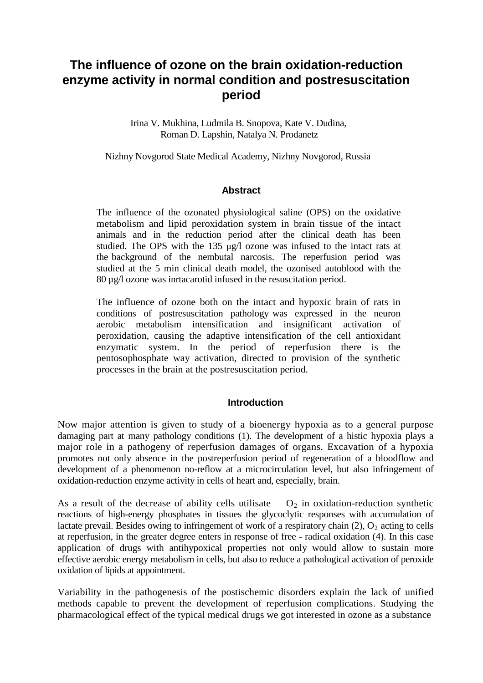# **The influence of ozone on the brain oxidation-reduction enzyme activity in normal condition and postresuscitation period**

Irina V. Mukhina, Ludmila B. Snopova, Kate V. Dudina, Roman D. Lapshin, Natalya N. Prodanetz

Nizhny Novgorod State Medical Academy, Nizhny Novgorod, Russia

# **Abstract**

The influence of the ozonated physiological saline (OPS) on the oxidative metabolism and lipid peroxidation system in brain tissue of the intact animals and in the reduction period after the clinical death has been studied. The OPS with the  $135 \mu g/l$  ozone was infused to the intact rats at the background of the nembutal narcosis. The reperfusion period was studied at the 5 min clinical death model, the ozonised autoblood with the 80 µg/l ozone was inrtacarotid infused in the resuscitation period.

The influence of ozone both on the intact and hypoxic brain of rats in conditions of postresuscitation pathology was expressed in the neuron aerobic metabolism intensification and insignificant activation of peroxidation, causing the adaptive intensification of the cell antioxidant enzymatic system. In the period of reperfusion there is the pentosophosphate way activation, directed to provision of the synthetic processes in the brain at the postresuscitation period.

## **Introduction**

Now major attention is given to study of a bioenergy hypoxia as to a general purpose damaging part at many pathology conditions (1). The development of a histic hypoxia plays a major role in a pathogeny of reperfusion damages of organs. Excavation of a hypoxia promotes not only absence in the postreperfusion period of regeneration of a bloodflow and development of a phenomenon no-reflow at a microcirculation level, but also infringement of oxidation-reduction enzyme activity in cells of heart and, especially, brain.

As a result of the decrease of ability cells utilisate  $O_2$  in oxidation-reduction synthetic reactions of high-energy phosphates in tissues the glycoclytic responses with accumulation of lactate prevail. Besides owing to infringement of work of a respiratory chain  $(2)$ ,  $O_2$  acting to cells at reperfusion, in the greater degree enters in response of free - radical oxidation (4). In this case application of drugs with antihypoxical properties not only would allow to sustain more effective aerobic energy metabolism in cells, but also to reduce a pathological activation of peroxide oxidation of lipids at appointment.

Variability in the pathogenesis of the postischemic disorders explain the lack of unified methods capable to prevent the development of reperfusion complications. Studying the pharmacological effect of the typical medical drugs we got interested in ozone as a substance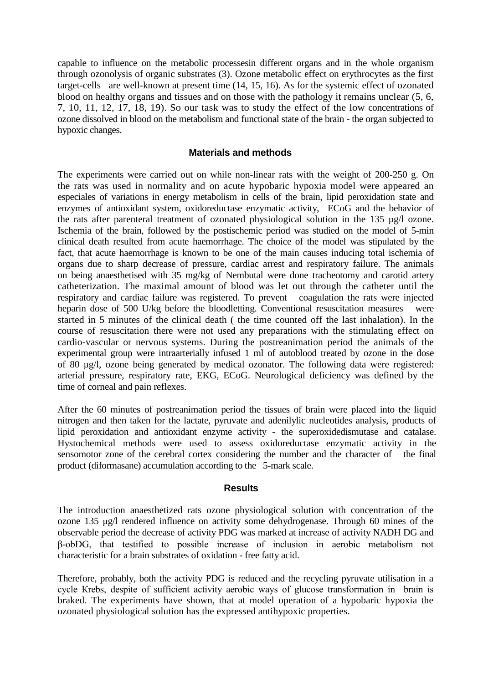capable to influence on the metabolic processesin different organs and in the whole organism through ozonolysis of organic substrates (3). Ozone metabolic effect on erythrocytes as the first target-cells are well-known at present time (14, 15, 16). As for the systemic effect of ozonated blood on healthy organs and tissues and on those with the pathology it remains unclear (5, 6, 7, 10, 11, 12, 17, 18, 19). So our task was to study the effect of the low concentrations of ozone dissolved in blood on the metabolism and functional state of the brain - the organ subjected to hypoxic changes.

## **Materials and methods**

The experiments were carried out on while non-linear rats with the weight of 200-250 g. On the rats was used in normality and on acute hypobaric hypoxia model were appeared an especiales of variations in energy metabolism in cells of the brain, lipid peroxidation state and enzymes of antioxidant system, oxidoreductase enzymatic activity, ECoG and the behavior of the rats after parenteral treatment of ozonated physiological solution in the 135 µg/l ozone. Ischemia of the brain, followed by the postischemic period was studied on the model of 5-min clinical death resulted from acute haemorrhage. The choice of the model was stipulated by the fact, that acute haemorrhage is known to be one of the main causes inducing total ischemia of organs due to sharp decrease of pressure, cardiac arrest and respiratory failure. The animals on being anaesthetised with 35 mg/kg of Nembutal were done tracheotomy and carotid artery catheterization. The maximal amount of blood was let out through the catheter until the respiratory and cardiac failure was registered. To prevent coagulation the rats were injected heparin dose of 500 U/kg before the bloodletting. Conventional resuscitation measures were started in 5 minutes of the clinical death ( the time counted off the last inhalation). In the course of resuscitation there were not used any preparations with the stimulating effect on cardio-vascular or nervous systems. During the postreanimation period the animals of the experimental group were intraarterially infused 1 ml of autoblood treated by ozone in the dose of 80 µg/l, ozone being generated by medical ozonator. The following data were registered: arterial pressure, respiratory rate, EKG, ECoG. Neurological deficiency was defined by the time of corneal and pain reflexes.

After the 60 minutes of postreanimation period the tissues of brain were placed into the liquid nitrogen and then taken for the lactate, pyruvate and adenilylic nucleotides analysis, products of lipid peroxidation and antioxidant enzyme activity - the superoxidedismutase and catalase. Hystochemical methods were used to assess oxidoreductase enzymatic activity in the sensomotor zone of the cerebral cortex considering the number and the character of the final product (diformasane) accumulation according to the 5-mark scale.

#### **Results**

The introduction anaesthetized rats ozone physiological solution with concentration of the ozone 135 µg/l rendered influence on activity some dehydrogenase. Through 60 mines of the observable period the decrease of activity PDG was marked at increase of activity NADH DG and β-оbDG, that testified to possible increase of inclusion in aerobic metabolism not characteristic for a brain substrates of oxidation - free fatty acid.

Therefore, probably, both the activity PDG is reduced and the recycling pyruvate utilisation in a cycle Кrebs, despite of sufficient activity aerobic ways of glucose transformation in brain is braked. The experiments have shown, that at model operation of a hypobaric hypoxia the ozonated physiological solution has the expressed antihypoxic properties.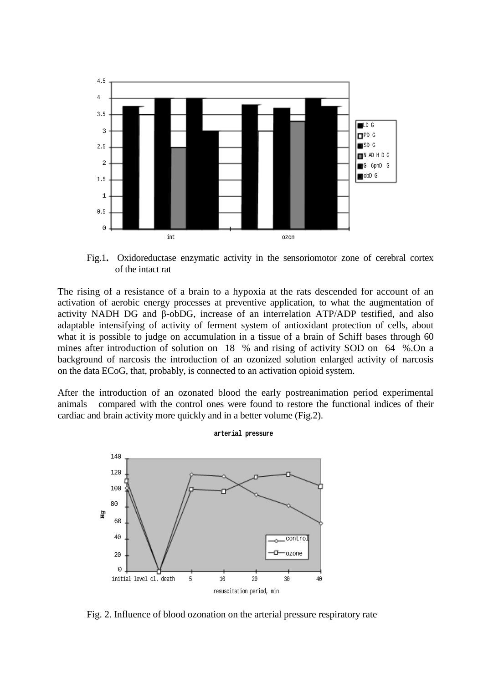

Fig.1**.** Oxidoreductase enzymatic activity in the sensoriomotor zone of cerebral cortex of the intact rat

The rising of a resistance of a brain to a hypoxia at the rats descended for account of an activation of aerobic energy processes at preventive application, to what the augmentation of activity NADH DG and β-obDG, increase of an interrelation ATP/ADP testified, and also adaptable intensifying of activity of ferment system of antioxidant protection of cells, about what it is possible to judge on accumulation in a tissue of a brain of Schiff bases through 60 mines after introduction of solution on 18 % and rising of activity SOD on 64 %.On a background of narcosis the introduction of an ozonized solution enlarged activity of narcosis on the data ECoG, that, probably, is connected to an activation opioid system.

After the introduction of an ozonated blood the early postreanimation period experimental animals compared with the control ones were found to restore the functional indices of their cardiac and brain activity more quickly and in a better volume (Fig.2).

**arterial pressure** 



Fig. 2. Influence of blood ozonation on the arterial pressure respiratory rate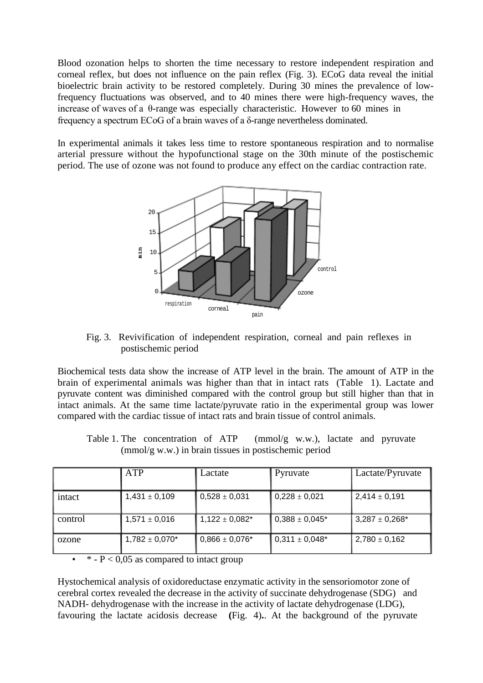Blood ozonation helps to shorten the time necessary to restore independent respiration and corneal reflex, but does not influence on the pain reflex (Fig. 3). ECoG data reveal the initial bioelectric brain activity to be restored completely. During 30 mines the prevalence of lowfrequency fluctuations was observed, and to 40 mines there were high-frequency waves, the increase of waves of a θ-range was especially characteristic. However to 60 mines in frequency a spectrum ECoG of a brain waves of a δ-range nevertheless dominated.

In experimental animals it takes less time to restore spontaneous respiration and to normalise arterial pressure without the hypofunctional stage on the 30th minute of the postischemic period. The use of ozone was not found to produce any effect on the cardiac contraction rate.



Fig. 3. Revivification of independent respiration, corneal and pain reflexes in postischemic period

Biochemical tests data show the increase of ATP level in the brain. The amount of ATP in the brain of experimental animals was higher than that in intact rats (Table 1). Lactate and pyruvate content was diminished compared with the control group but still higher than that in intact animals. At the same time lactate/pyruvate ratio in the experimental group was lower compared with the cardiac tissue of intact rats and brain tissue of control animals.

Table 1. The concentration of ATP (mmol/g w.w.), lactate and pyruvate (mmol/g w.w.) in brain tissues in postischemic period

|         | ATP                 | Lactate             | Pyruvate            | Lactate/Pyruvate    |
|---------|---------------------|---------------------|---------------------|---------------------|
| intact  | $1,431 \pm 0,109$   | $ 0,528 \pm 0,031$  | $0,228 \pm 0,021$   | $2,414 \pm 0,191$   |
| control | $1,571 \pm 0,016$   | $1,122 \pm 0,082^*$ | $0,388 \pm 0,045^*$ | $3,287 \pm 0,268^*$ |
| ozone   | $1,782 \pm 0,070^*$ | $0,866 \pm 0,076^*$ | $0.311 \pm 0.048$ * | $2,780 \pm 0,162$   |

 $*$  -  $P < 0.05$  as compared to intact group

Hystochemical analysis of oxidoreductase enzymatic activity in the sensoriomotor zone of cerebral cortex revealed the decrease in the activity of succinate dehydrogenase (SDG) and NADH- dehydrogenase with the increase in the activity of lactate dehydrogenase (LDG), favouring the lactate acidosis decrease **(**Fig. 4)**.**. At the background of the pyruvate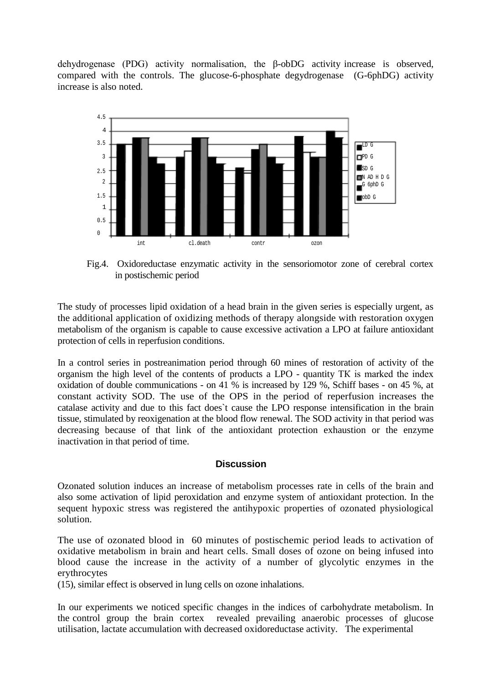dehydrogenase (PDG) activity normalisation, the β-obDG activity increase is observed, compared with the controls. The glucose-6-phosphate degydrogenase (G-6phDG) activity increase is also noted.



Fig.4. Oxidoreductase enzymatic activity in the sensoriomotor zone of cerebral cortex in postischemic period

The study of processes lipid oxidation of a head brain in the given series is especially urgent, as the additional application of oxidizing methods of therapy alongside with restoration oxygen metabolism of the organism is capable to cause excessive activation a LPO at failure antioxidant protection of cells in reperfusion conditions.

In a control series in postreanimation period through 60 mines of restoration of activity of the organism the high level of the contents of products a LPO - quantity ТК is marked the index oxidation of double communications - on 41 % is increased by 129 %, Schiff bases - on 45 %, at constant activity SOD. The use of the OPS in the period of reperfusion increases the catalase activity and due to this fact does`t cause the LPO response intensification in the brain tissue, stimulated by reoxigenation at the blood flow renewal. The SOD activity in that period was decreasing because of that link of the antioxidant protection exhaustion or the enzyme inactivation in that period of time.

## **Discussion**

Ozonated solution induces an increase of metabolism processes rate in cells of the brain and also some activation of lipid peroxidation and enzyme system of antioxidant protection. In the sequent hypoxic stress was registered the antihypoxic properties of ozonated physiological solution.

The use of ozonated blood in 60 minutes of postischemic period leads to activation of oxidative metabolism in brain and heart cells. Small doses of ozone on being infused into blood cause the increase in the activity of a number of glycolytic enzymes in the erythrocytes

(15), similar effect is observed in lung cells on ozone inhalations.

In our experiments we noticed specific changes in the indices of carbohydrate metabolism. In the control group the brain cortex revealed prevailing anaerobic processes of glucose utilisation, lactate accumulation with decreased oxidoreductase activity. The experimental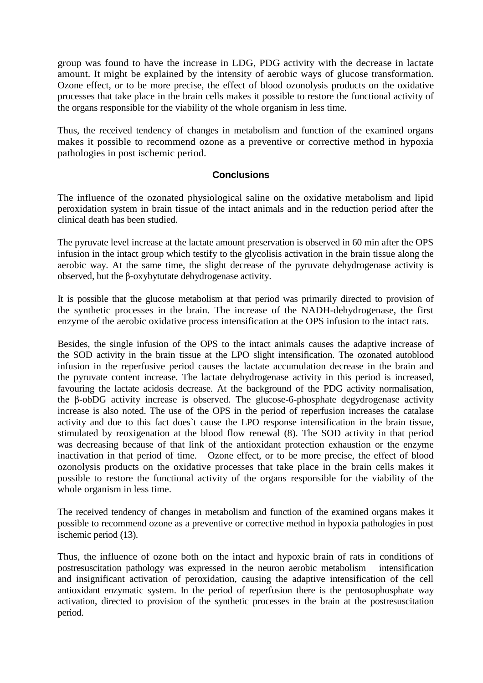group was found to have the increase in LDG, PDG activity with the decrease in lactate amount. It might be explained by the intensity of aerobic ways of glucose transformation. Ozone effect, or to be more precise, the effect of blood ozonolysis products on the oxidative processes that take place in the brain cells makes it possible to restore the functional activity of the organs responsible for the viability of the whole organism in less time.

Thus, the received tendency of changes in metabolism and function of the examined organs makes it possible to recommend ozone as a preventive or corrective method in hypoxia pathologies in post ischemic period.

# **Conclusions**

The influence of the ozonated physiological saline on the oxidative metabolism and lipid peroxidation system in brain tissue of the intact animals and in the reduction period after the clinical death has been studied.

The pyruvate level increase at the lactate amount preservation is observed in 60 min after the OPS infusion in the intact group which testify to the glycolisis activation in the brain tissue along the aerobic way. At the same time, the slight decrease of the pyruvate dehydrogenase activity is observed, but the β-oxybytutate dehydrogenase activity.

It is possible that the glucose metabolism at that period was primarily directed to provision of the synthetic processes in the brain. The increase of the NADH-dehydrogenase, the first enzyme of the aerobic oxidative process intensification at the OPS infusion to the intact rats.

Besides, the single infusion of the OPS to the intact animals causes the adaptive increase of the SOD activity in the brain tissue at the LPO slight intensification. The ozonated autoblood infusion in the reperfusive period causes the lactate accumulation decrease in the brain and the pyruvate content increase. The lactate dehydrogenase activity in this period is increased, favouring the lactate acidosis decrease. At the background of the PDG activity normalisation, the β-obDG activity increase is observed. The glucose-6-phosphate degydrogenase activity increase is also noted. The use of the OPS in the period of reperfusion increases the catalase activity and due to this fact does`t cause the LPO response intensification in the brain tissue, stimulated by reoxigenation at the blood flow renewal (8). The SOD activity in that period was decreasing because of that link of the antioxidant protection exhaustion or the enzyme inactivation in that period of time. Ozone effect, or to be more precise, the effect of blood ozonolysis products on the oxidative processes that take place in the brain cells makes it possible to restore the functional activity of the organs responsible for the viability of the whole organism in less time.

The received tendency of changes in metabolism and function of the examined organs makes it possible to recommend ozone as a preventive or corrective method in hypoxia pathologies in post ischemic period (13).

Thus, the influence of ozone both on the intact and hypoxic brain of rats in conditions of postresuscitation pathology was expressed in the neuron aerobic metabolism intensification and insignificant activation of peroxidation, causing the adaptive intensification of the cell antioxidant enzymatic system. In the period of reperfusion there is the pentosophosphate way activation, directed to provision of the synthetic processes in the brain at the postresuscitation period.